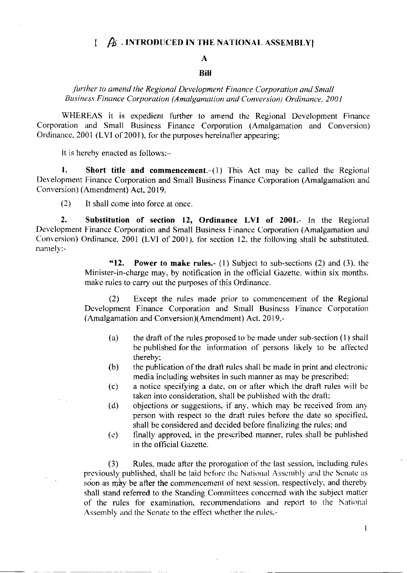#### $\mathbb{Z}/2$  . INTRODUCED IN THE NATIONAL ASSEMBLY  $\mathbf{I}$

#### $\mathbf{A}$

### **Bill**

# further to amend the Regional Development Finance Corporation and Small Business Finance Corporation (Amalgamation and Conversion) Ordinance, 2001

WHEREAS it is expedient further to amend the Regional Development Finance Corporation and Small Business Finance Corporation (Amalgamation and Conversion) Ordinance, 2001 (LVI of 2001), for the purposes hereinafter appearing;

It is hereby enacted as follows:-

 $1.$ **Short title and commencement.**  $(1)$  This Act may be called the Regional Development Finance Corporation and Small Business Finance Corporation (Amalgamation and Conversion) (Amendment) Act, 2019.

 $(2)$ It shall come into force at once.

 $2.$ Substitution of section 12, Ordinance LVI of 2001.- In the Regional Development Finance Corporation and Small Business Finance Corporation (Amalgamation and Conversion) Ordinance, 2001 (LVI of 2001), for section 12, the following shall be substituted. namely:-

> $"12."$ **Power to make rules.** (1) Subject to sub-sections (2) and (3), the Minister-in-charge may, by notification in the official Gazette, within six months, make rules to carry out the purposes of this Ordinance.

> Except the rules made prior to commencement of the Regional  $(2)$ Development Finance Corporation and Small Business Finance Corporation (Amalgamation and Conversion)(Amendment) Act. 2019,-

- $(a)$ the draft of the rules proposed to be made under sub-section (1) shall be published for the information of persons likely to be affected thereby:
- $(b)$ the publication of the draft rules shall be made in print and electronic media including websites in such manner as may be prescribed;
- a notice specifying a date, on or after which the draft rules will be  $(c)$ taken into consideration, shall be published with the draft;
- objections or suggestions, if any, which may be received from any  $(d)$ person with respect to the draft rules before the date so specified, shall be considered and decided before finalizing the rules; and
- finally approved, in the prescribed manner, rules shall be published  $(e)$ in the official Gazette.

Rules, made after the prorogation of the last session, including rules  $(3)$ previously published, shall be laid before the National Assembly and the Senate as soon as may be after the commencement of next session, respectively, and thereby shall stand referred to the Standing Committees concerned with the subject matter of the rules for examination, recommendations and report to the National Assembly and the Senate to the effect whether the rules,-